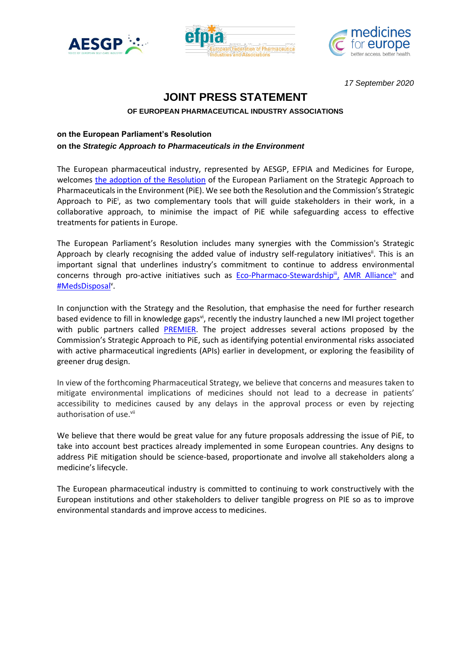





*17 September 2020*

# **JOINT PRESS STATEMENT**

## **OF EUROPEAN PHARMACEUTICAL INDUSTRY ASSOCIATIONS**

# **on the European Parliament's Resolution**

## **on the** *Strategic Approach to Pharmaceuticals in the Environment*

The European pharmaceutical industry, represented by AESGP, EFPIA and Medicines for Europe, welcomes [the adoption of the Resolution](https://www.europarl.europa.eu/news/en/press-room/20200910IPR86826/parliament-wants-the-eu-to-tackle-pharmaceutical-pollution) of the European Parliament on the Strategic Approach to Pharmaceuticals in the Environment (PiE). We see both the Resolution and the Commission's Strategic Approach to PiE<sup>i</sup>, as two complementary tools that will guide stakeholders in their work, in a collaborative approach, to minimise the impact of PiE while safeguarding access to effective treatments for patients in Europe.

The European Parliament's Resolution includes many synergies with the Commission's Strategic Approach by clearly recognising the added value of industry self-regulatory initiatives<sup>ii</sup>. This is an important signal that underlines industry's commitment to continue to address environmental concerns through pro-active initiatives such as <u>[Eco-Pharmaco-Stewardship](https://www.efpia.eu/media/288586/pie-brochure.pdf)<sup>iii</sup>, [AMR Alliance](https://www.amrindustryalliance.org/)<sup>iv</sup> and</u> [#MedsDisposal](http://medsdisposal.eu/)<sup>v</sup> .

In conjunction with the Strategy and the Resolution, that emphasise the need for further research based evidence to fill in knowledge gaps<sup>vi</sup>, recently the industry launched a new IMI project together with public partners called **PREMIER**. The project addresses several actions proposed by the Commission's Strategic Approach to PiE, such as identifying potential environmental risks associated with active pharmaceutical ingredients (APIs) earlier in development, or exploring the feasibility of greener drug design.

In view of the forthcoming Pharmaceutical Strategy, we believe that concerns and measures taken to mitigate environmental implications of medicines should not lead to a decrease in patients' accessibility to medicines caused by any delays in the approval process or even by rejecting authorisation of use.<sup>vii</sup>

We believe that there would be great value for any future proposals addressing the issue of PiE, to take into account best practices already implemented in some European countries. Any designs to address PiE mitigation should be science-based, proportionate and involve all stakeholders along a medicine's lifecycle.

The European pharmaceutical industry is committed to continuing to work constructively with the European institutions and other stakeholders to deliver tangible progress on PIE so as to improve environmental standards and improve access to medicines.